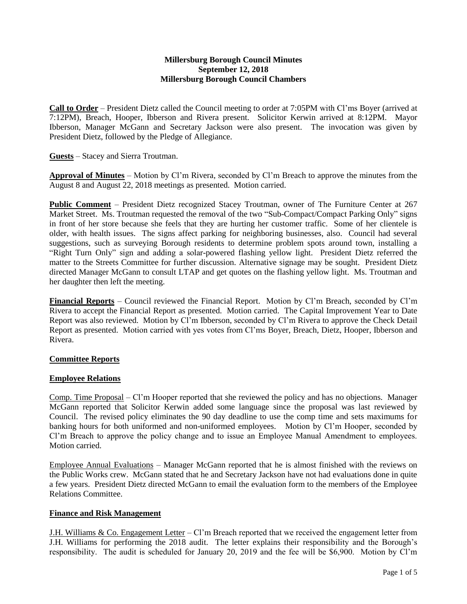### **Millersburg Borough Council Minutes September 12, 2018 Millersburg Borough Council Chambers**

**Call to Order** – President Dietz called the Council meeting to order at 7:05PM with Cl'ms Boyer (arrived at 7:12PM), Breach, Hooper, Ibberson and Rivera present. Solicitor Kerwin arrived at 8:12PM. Mayor Ibberson, Manager McGann and Secretary Jackson were also present. The invocation was given by President Dietz, followed by the Pledge of Allegiance.

**Guests** – Stacey and Sierra Troutman.

**Approval of Minutes** – Motion by Cl'm Rivera, seconded by Cl'm Breach to approve the minutes from the August 8 and August 22, 2018 meetings as presented. Motion carried.

**Public Comment** – President Dietz recognized Stacey Troutman, owner of The Furniture Center at 267 Market Street. Ms. Troutman requested the removal of the two "Sub-Compact/Compact Parking Only" signs in front of her store because she feels that they are hurting her customer traffic. Some of her clientele is older, with health issues. The signs affect parking for neighboring businesses, also. Council had several suggestions, such as surveying Borough residents to determine problem spots around town, installing a "Right Turn Only" sign and adding a solar-powered flashing yellow light. President Dietz referred the matter to the Streets Committee for further discussion. Alternative signage may be sought. President Dietz directed Manager McGann to consult LTAP and get quotes on the flashing yellow light. Ms. Troutman and her daughter then left the meeting.

**Financial Reports** – Council reviewed the Financial Report. Motion by Cl'm Breach, seconded by Cl'm Rivera to accept the Financial Report as presented. Motion carried. The Capital Improvement Year to Date Report was also reviewed. Motion by Cl'm Ibberson, seconded by Cl'm Rivera to approve the Check Detail Report as presented. Motion carried with yes votes from Cl'ms Boyer, Breach, Dietz, Hooper, Ibberson and Rivera.

## **Committee Reports**

#### **Employee Relations**

Comp. Time Proposal – Cl'm Hooper reported that she reviewed the policy and has no objections. Manager McGann reported that Solicitor Kerwin added some language since the proposal was last reviewed by Council. The revised policy eliminates the 90 day deadline to use the comp time and sets maximums for banking hours for both uniformed and non-uniformed employees. Motion by Cl'm Hooper, seconded by Cl'm Breach to approve the policy change and to issue an Employee Manual Amendment to employees. Motion carried.

Employee Annual Evaluations – Manager McGann reported that he is almost finished with the reviews on the Public Works crew. McGann stated that he and Secretary Jackson have not had evaluations done in quite a few years. President Dietz directed McGann to email the evaluation form to the members of the Employee Relations Committee.

#### **Finance and Risk Management**

J.H. Williams & Co. Engagement Letter – Cl'm Breach reported that we received the engagement letter from J.H. Williams for performing the 2018 audit. The letter explains their responsibility and the Borough's responsibility. The audit is scheduled for January 20, 2019 and the fee will be \$6,900. Motion by Cl'm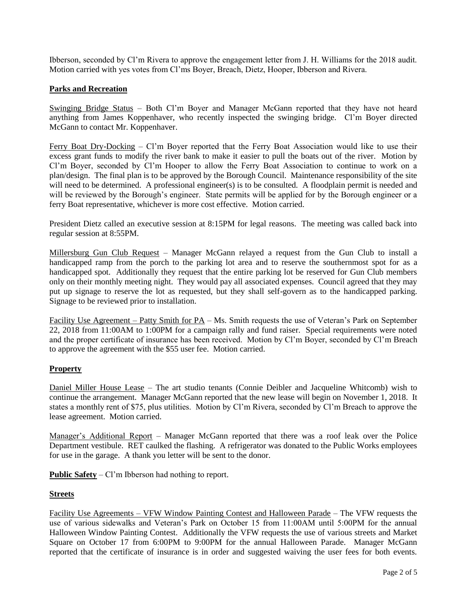Ibberson, seconded by Cl'm Rivera to approve the engagement letter from J. H. Williams for the 2018 audit. Motion carried with yes votes from Cl'ms Boyer, Breach, Dietz, Hooper, Ibberson and Rivera.

# **Parks and Recreation**

Swinging Bridge Status – Both Cl'm Boyer and Manager McGann reported that they have not heard anything from James Koppenhaver, who recently inspected the swinging bridge. Cl'm Boyer directed McGann to contact Mr. Koppenhaver.

Ferry Boat Dry-Docking – Cl'm Boyer reported that the Ferry Boat Association would like to use their excess grant funds to modify the river bank to make it easier to pull the boats out of the river. Motion by Cl'm Boyer, seconded by Cl'm Hooper to allow the Ferry Boat Association to continue to work on a plan/design. The final plan is to be approved by the Borough Council. Maintenance responsibility of the site will need to be determined. A professional engineer(s) is to be consulted. A floodplain permit is needed and will be reviewed by the Borough's engineer. State permits will be applied for by the Borough engineer or a ferry Boat representative, whichever is more cost effective. Motion carried.

President Dietz called an executive session at 8:15PM for legal reasons. The meeting was called back into regular session at 8:55PM.

Millersburg Gun Club Request – Manager McGann relayed a request from the Gun Club to install a handicapped ramp from the porch to the parking lot area and to reserve the southernmost spot for as a handicapped spot. Additionally they request that the entire parking lot be reserved for Gun Club members only on their monthly meeting night. They would pay all associated expenses. Council agreed that they may put up signage to reserve the lot as requested, but they shall self-govern as to the handicapped parking. Signage to be reviewed prior to installation.

Facility Use Agreement – Patty Smith for PA – Ms. Smith requests the use of Veteran's Park on September 22, 2018 from 11:00AM to 1:00PM for a campaign rally and fund raiser. Special requirements were noted and the proper certificate of insurance has been received. Motion by Cl'm Boyer, seconded by Cl'm Breach to approve the agreement with the \$55 user fee. Motion carried.

## **Property**

Daniel Miller House Lease – The art studio tenants (Connie Deibler and Jacqueline Whitcomb) wish to continue the arrangement. Manager McGann reported that the new lease will begin on November 1, 2018. It states a monthly rent of \$75, plus utilities. Motion by Cl'm Rivera, seconded by Cl'm Breach to approve the lease agreement. Motion carried.

Manager's Additional Report – Manager McGann reported that there was a roof leak over the Police Department vestibule. RET caulked the flashing. A refrigerator was donated to the Public Works employees for use in the garage. A thank you letter will be sent to the donor.

**Public Safety** – Cl'm Ibberson had nothing to report.

## **Streets**

Facility Use Agreements – VFW Window Painting Contest and Halloween Parade – The VFW requests the use of various sidewalks and Veteran's Park on October 15 from 11:00AM until 5:00PM for the annual Halloween Window Painting Contest. Additionally the VFW requests the use of various streets and Market Square on October 17 from 6:00PM to 9:00PM for the annual Halloween Parade. Manager McGann reported that the certificate of insurance is in order and suggested waiving the user fees for both events.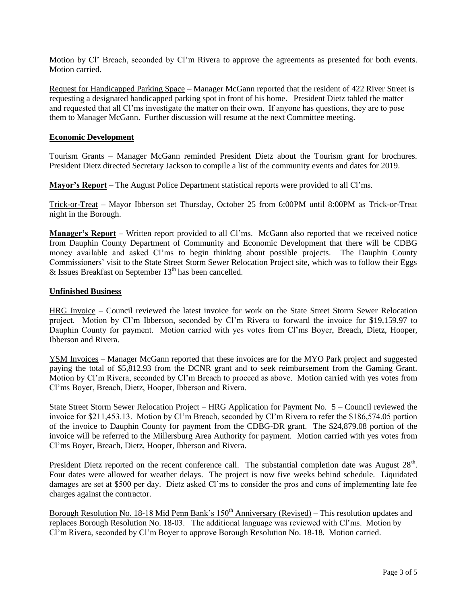Motion by Cl' Breach, seconded by Cl'm Rivera to approve the agreements as presented for both events. Motion carried.

Request for Handicapped Parking Space – Manager McGann reported that the resident of 422 River Street is requesting a designated handicapped parking spot in front of his home. President Dietz tabled the matter and requested that all Cl'ms investigate the matter on their own. If anyone has questions, they are to pose them to Manager McGann. Further discussion will resume at the next Committee meeting.

#### **Economic Development**

Tourism Grants – Manager McGann reminded President Dietz about the Tourism grant for brochures. President Dietz directed Secretary Jackson to compile a list of the community events and dates for 2019.

**Mayor's Report –** The August Police Department statistical reports were provided to all Cl'ms.

Trick-or-Treat – Mayor Ibberson set Thursday, October 25 from 6:00PM until 8:00PM as Trick-or-Treat night in the Borough.

**Manager's Report** – Written report provided to all Cl'ms. McGann also reported that we received notice from Dauphin County Department of Community and Economic Development that there will be CDBG money available and asked Cl'ms to begin thinking about possible projects. The Dauphin County Commissioners' visit to the State Street Storm Sewer Relocation Project site, which was to follow their Eggs  $&$  Issues Breakfast on September  $13<sup>th</sup>$  has been cancelled.

## **Unfinished Business**

HRG Invoice – Council reviewed the latest invoice for work on the State Street Storm Sewer Relocation project. Motion by Cl'm Ibberson, seconded by Cl'm Rivera to forward the invoice for \$19,159.97 to Dauphin County for payment. Motion carried with yes votes from Cl'ms Boyer, Breach, Dietz, Hooper, Ibberson and Rivera.

YSM Invoices – Manager McGann reported that these invoices are for the MYO Park project and suggested paying the total of \$5,812.93 from the DCNR grant and to seek reimbursement from the Gaming Grant. Motion by Cl'm Rivera, seconded by Cl'm Breach to proceed as above. Motion carried with yes votes from Cl'ms Boyer, Breach, Dietz, Hooper, Ibberson and Rivera.

State Street Storm Sewer Relocation Project – HRG Application for Payment No. 5 – Council reviewed the invoice for \$211,453.13. Motion by Cl'm Breach, seconded by Cl'm Rivera to refer the \$186,574.05 portion of the invoice to Dauphin County for payment from the CDBG-DR grant. The \$24,879.08 portion of the invoice will be referred to the Millersburg Area Authority for payment. Motion carried with yes votes from Cl'ms Boyer, Breach, Dietz, Hooper, Ibberson and Rivera.

President Dietz reported on the recent conference call. The substantial completion date was August 28<sup>th</sup>. Four dates were allowed for weather delays. The project is now five weeks behind schedule. Liquidated damages are set at \$500 per day. Dietz asked Cl'ms to consider the pros and cons of implementing late fee charges against the contractor.

Borough Resolution No. 18-18 Mid Penn Bank's  $150<sup>th</sup>$  Anniversary (Revised) – This resolution updates and replaces Borough Resolution No. 18-03. The additional language was reviewed with Cl'ms. Motion by Cl'm Rivera, seconded by Cl'm Boyer to approve Borough Resolution No. 18-18. Motion carried.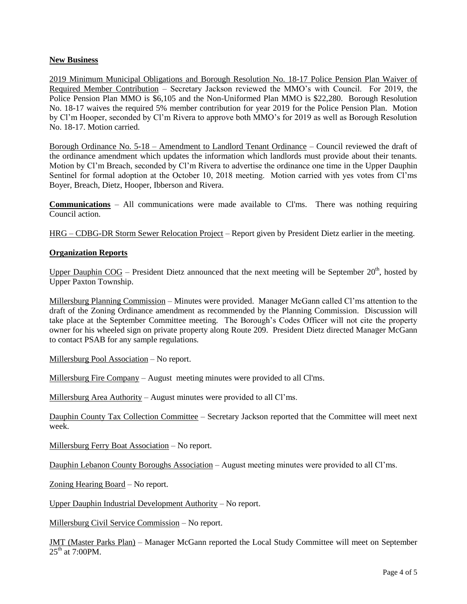### **New Business**

2019 Minimum Municipal Obligations and Borough Resolution No. 18-17 Police Pension Plan Waiver of Required Member Contribution – Secretary Jackson reviewed the MMO's with Council. For 2019, the Police Pension Plan MMO is \$6,105 and the Non-Uniformed Plan MMO is \$22,280. Borough Resolution No. 18-17 waives the required 5% member contribution for year 2019 for the Police Pension Plan. Motion by Cl'm Hooper, seconded by Cl'm Rivera to approve both MMO's for 2019 as well as Borough Resolution No. 18-17. Motion carried.

Borough Ordinance No. 5-18 – Amendment to Landlord Tenant Ordinance – Council reviewed the draft of the ordinance amendment which updates the information which landlords must provide about their tenants. Motion by Cl'm Breach, seconded by Cl'm Rivera to advertise the ordinance one time in the Upper Dauphin Sentinel for formal adoption at the October 10, 2018 meeting. Motion carried with yes votes from Cl'ms Boyer, Breach, Dietz, Hooper, Ibberson and Rivera.

**Communications** – All communications were made available to Cl'ms. There was nothing requiring Council action.

HRG – CDBG-DR Storm Sewer Relocation Project – Report given by President Dietz earlier in the meeting.

#### **Organization Reports**

Upper Dauphin COG – President Dietz announced that the next meeting will be September  $20<sup>th</sup>$ , hosted by Upper Paxton Township.

Millersburg Planning Commission – Minutes were provided. Manager McGann called Cl'ms attention to the draft of the Zoning Ordinance amendment as recommended by the Planning Commission. Discussion will take place at the September Committee meeting. The Borough's Codes Officer will not cite the property owner for his wheeled sign on private property along Route 209. President Dietz directed Manager McGann to contact PSAB for any sample regulations.

Millersburg Pool Association – No report.

Millersburg Fire Company – August meeting minutes were provided to all Cl'ms.

Millersburg Area Authority – August minutes were provided to all Cl'ms.

Dauphin County Tax Collection Committee – Secretary Jackson reported that the Committee will meet next week.

Millersburg Ferry Boat Association – No report.

Dauphin Lebanon County Boroughs Association – August meeting minutes were provided to all Cl'ms.

Zoning Hearing Board – No report.

Upper Dauphin Industrial Development Authority – No report.

Millersburg Civil Service Commission – No report.

JMT (Master Parks Plan) – Manager McGann reported the Local Study Committee will meet on September  $25<sup>th</sup>$  at 7:00PM.